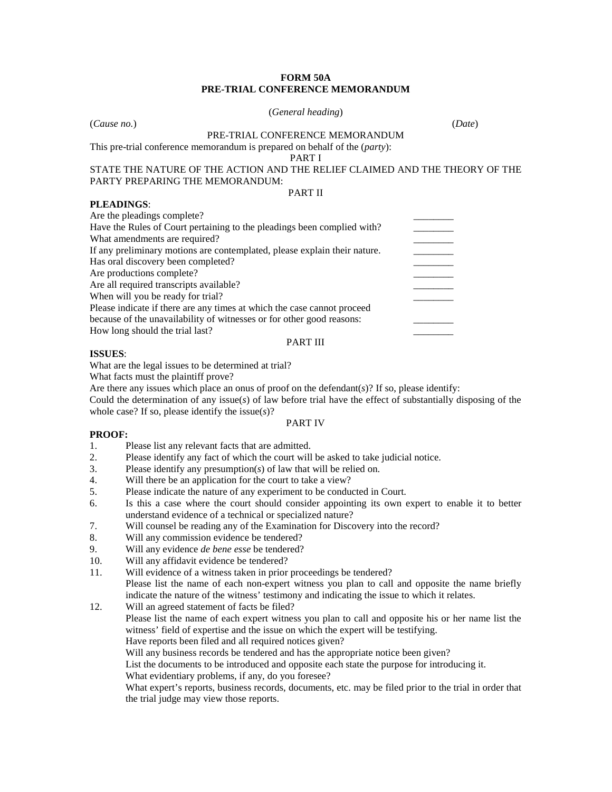## **FORM 50A PRE-TRIAL CONFERENCE MEMORANDUM**

#### (*General heading*)

(*Cause no.*) (*Date*)

PRE-TRIAL CONFERENCE MEMORANDUM

This pre-trial conference memorandum is prepared on behalf of the (*party*):

PART I

#### STATE THE NATURE OF THE ACTION AND THE RELIEF CLAIMED AND THE THEORY OF THE PARTY PREPARING THE MEMORANDUM: PART II

### **PLEADINGS**:

| Are the pleadings complete?                                               |  |
|---------------------------------------------------------------------------|--|
| Have the Rules of Court pertaining to the pleadings been complied with?   |  |
| What amendments are required?                                             |  |
| If any preliminary motions are contemplated, please explain their nature. |  |
| Has oral discovery been completed?                                        |  |
| Are productions complete?                                                 |  |
| Are all required transcripts available?                                   |  |
| When will you be ready for trial?                                         |  |
| Please indicate if there are any times at which the case cannot proceed   |  |
| because of the unavailability of witnesses or for other good reasons:     |  |
| How long should the trial last?                                           |  |
| PART III                                                                  |  |

### **ISSUES**:

What are the legal issues to be determined at trial?

What facts must the plaintiff prove?

Are there any issues which place an onus of proof on the defendant $(s)$ ? If so, please identify:

Could the determination of any issue(*s*) of law before trial have the effect of substantially disposing of the whole case? If so, please identify the issue(*s*)?

#### PART IV

### **PROOF:**

- 1. Please list any relevant facts that are admitted.
- 2. Please identify any fact of which the court will be asked to take judicial notice.<br>3. Please identify any presumption(s) of law that will be relied on.
- 3. Please identify any presumption(*s*) of law that will be relied on.
- 4. Will there be an application for the court to take a view?
- 5. Please indicate the nature of any experiment to be conducted in Court.
- 6. Is this a case where the court should consider appointing its own expert to enable it to better understand evidence of a technical or specialized nature?
- 7. Will counsel be reading any of the Examination for Discovery into the record?
- 8. Will any commission evidence be tendered?
- 9. Will any evidence *de bene esse* be tendered?
- 10. Will any affidavit evidence be tendered?<br>11. Will evidence of a witness taken in prior
- Will evidence of a witness taken in prior proceedings be tendered? Please list the name of each non-expert witness you plan to call and opposite the name briefly indicate the nature of the witness' testimony and indicating the issue to which it relates.

12. Will an agreed statement of facts be filed? Please list the name of each expert witness you plan to call and opposite his or her name list the witness' field of expertise and the issue on which the expert will be testifying.

Have reports been filed and all required notices given?

Will any business records be tendered and has the appropriate notice been given?

List the documents to be introduced and opposite each state the purpose for introducing it.

What evidentiary problems, if any, do you foresee?

What expert's reports, business records, documents, etc. may be filed prior to the trial in order that the trial judge may view those reports.